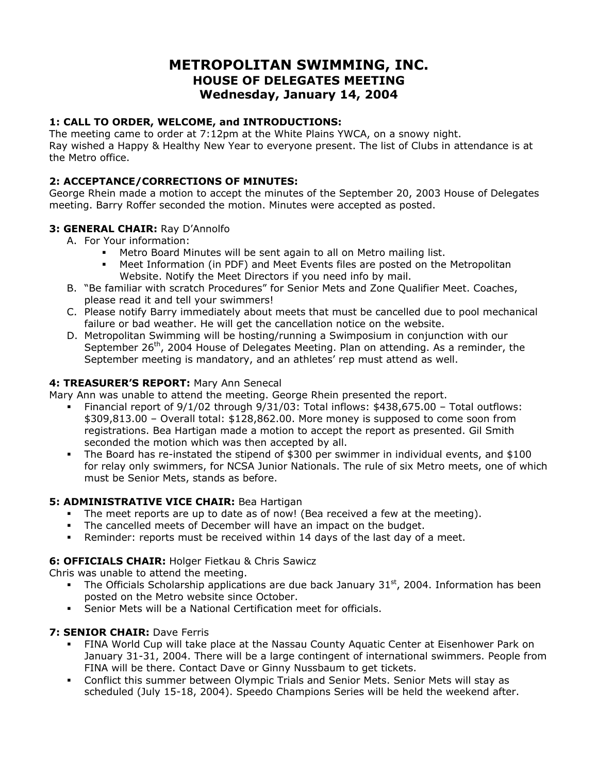## **METROPOLITAN SWIMMING, INC. HOUSE OF DELEGATES MEETING Wednesday, January 14, 2004**

## **1: CALL TO ORDER, WELCOME, and INTRODUCTIONS:**

The meeting came to order at 7:12pm at the White Plains YWCA, on a snowy night. Ray wished a Happy & Healthy New Year to everyone present. The list of Clubs in attendance is at the Metro office.

## **2: ACCEPTANCE/CORRECTIONS OF MINUTES:**

George Rhein made a motion to accept the minutes of the September 20, 2003 House of Delegates meeting. Barry Roffer seconded the motion. Minutes were accepted as posted.

## **3: GENERAL CHAIR:** Ray D'Annolfo

- A. For Your information:
	- Metro Board Minutes will be sent again to all on Metro mailing list.
	- Meet Information (in PDF) and Meet Events files are posted on the Metropolitan Website. Notify the Meet Directors if you need info by mail.
- B. "Be familiar with scratch Procedures" for Senior Mets and Zone Qualifier Meet. Coaches, please read it and tell your swimmers!
- C. Please notify Barry immediately about meets that must be cancelled due to pool mechanical failure or bad weather. He will get the cancellation notice on the website.
- D. Metropolitan Swimming will be hosting/running a Swimposium in conjunction with our September  $26<sup>th</sup>$ , 2004 House of Delegates Meeting. Plan on attending. As a reminder, the September meeting is mandatory, and an athletes' rep must attend as well.

## **4: TREASURER'S REPORT:** Mary Ann Senecal

Mary Ann was unable to attend the meeting. George Rhein presented the report.

- Financial report of 9/1/02 through 9/31/03: Total inflows: \$438,675.00 Total outflows: \$309,813.00 – Overall total: \$128,862.00. More money is supposed to come soon from registrations. Bea Hartigan made a motion to accept the report as presented. Gil Smith seconded the motion which was then accepted by all.
- The Board has re-instated the stipend of \$300 per swimmer in individual events, and \$100 for relay only swimmers, for NCSA Junior Nationals. The rule of six Metro meets, one of which must be Senior Mets, stands as before.

## **5: ADMINISTRATIVE VICE CHAIR:** Bea Hartigan

- The meet reports are up to date as of now! (Bea received a few at the meeting).
- The cancelled meets of December will have an impact on the budget.
- Reminder: reports must be received within 14 days of the last day of a meet.

## **6: OFFICIALS CHAIR:** Holger Fietkau & Chris Sawicz

Chris was unable to attend the meeting.

- The Officials Scholarship applications are due back January  $31<sup>st</sup>$ , 2004. Information has been posted on the Metro website since October.
- Senior Mets will be a National Certification meet for officials.

#### **7: SENIOR CHAIR:** Dave Ferris

- FINA World Cup will take place at the Nassau County Aquatic Center at Eisenhower Park on January 31-31, 2004. There will be a large contingent of international swimmers. People from FINA will be there. Contact Dave or Ginny Nussbaum to get tickets.
- Conflict this summer between Olympic Trials and Senior Mets. Senior Mets will stay as scheduled (July 15-18, 2004). Speedo Champions Series will be held the weekend after.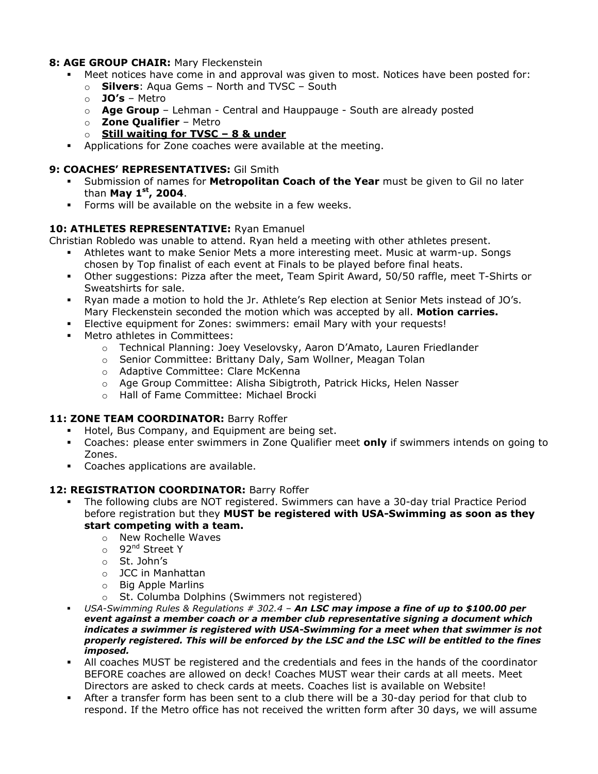#### **8: AGE GROUP CHAIR:** Mary Fleckenstein

- Meet notices have come in and approval was given to most. Notices have been posted for:
	- o **Silvers**: Aqua Gems North and TVSC South
	- o **JO's** Metro
	- o **Age Group**  Lehman Central and Hauppauge South are already posted
	- o **Zone Qualifier** Metro
	- o **Still waiting for TVSC 8 & under**
- Applications for Zone coaches were available at the meeting.

#### **9: COACHES' REPRESENTATIVES:** Gil Smith

- Submission of names for **Metropolitan Coach of the Year** must be given to Gil no later than **May 1st, 2004**.
- Forms will be available on the website in a few weeks.

#### **10: ATHLETES REPRESENTATIVE:** Ryan Emanuel

Christian Robledo was unable to attend. Ryan held a meeting with other athletes present.

- Athletes want to make Senior Mets a more interesting meet. Music at warm-up. Songs chosen by Top finalist of each event at Finals to be played before final heats.
- Other suggestions: Pizza after the meet, Team Spirit Award, 50/50 raffle, meet T-Shirts or Sweatshirts for sale.
- Ryan made a motion to hold the Jr. Athlete's Rep election at Senior Mets instead of JO's. Mary Fleckenstein seconded the motion which was accepted by all. **Motion carries.**
- Elective equipment for Zones: swimmers: email Mary with your requests!
- Metro athletes in Committees:
	- o Technical Planning: Joey Veselovsky, Aaron D'Amato, Lauren Friedlander
	- o Senior Committee: Brittany Daly, Sam Wollner, Meagan Tolan
	- o Adaptive Committee: Clare McKenna
	- o Age Group Committee: Alisha Sibigtroth, Patrick Hicks, Helen Nasser
	- o Hall of Fame Committee: Michael Brocki

#### 11: **ZONE TEAM COORDINATOR:** Barry Roffer

- **Hotel, Bus Company, and Equipment are being set.**
- Coaches: please enter swimmers in Zone Qualifier meet **only** if swimmers intends on going to Zones.
- **Coaches applications are available.**

## **12: REGISTRATION COORDINATOR:** Barry Roffer

- The following clubs are NOT registered. Swimmers can have a 30-day trial Practice Period before registration but they **MUST be registered with USA-Swimming as soon as they start competing with a team.** 
	- o New Rochelle Waves
	- o 92<sup>nd</sup> Street Y
	- o St. John's
	- o JCC in Manhattan
	- o Big Apple Marlins
	- o St. Columba Dolphins (Swimmers not registered)
- *USA-Swimming Rules & Regulations # 302.4 An LSC may impose a fine of up to \$100.00 per event against a member coach or a member club representative signing a document which indicates a swimmer is registered with USA-Swimming for a meet when that swimmer is not properly registered. This will be enforced by the LSC and the LSC will be entitled to the fines imposed.*
- All coaches MUST be registered and the credentials and fees in the hands of the coordinator BEFORE coaches are allowed on deck! Coaches MUST wear their cards at all meets. Meet Directors are asked to check cards at meets. Coaches list is available on Website!
- After a transfer form has been sent to a club there will be a 30-day period for that club to respond. If the Metro office has not received the written form after 30 days, we will assume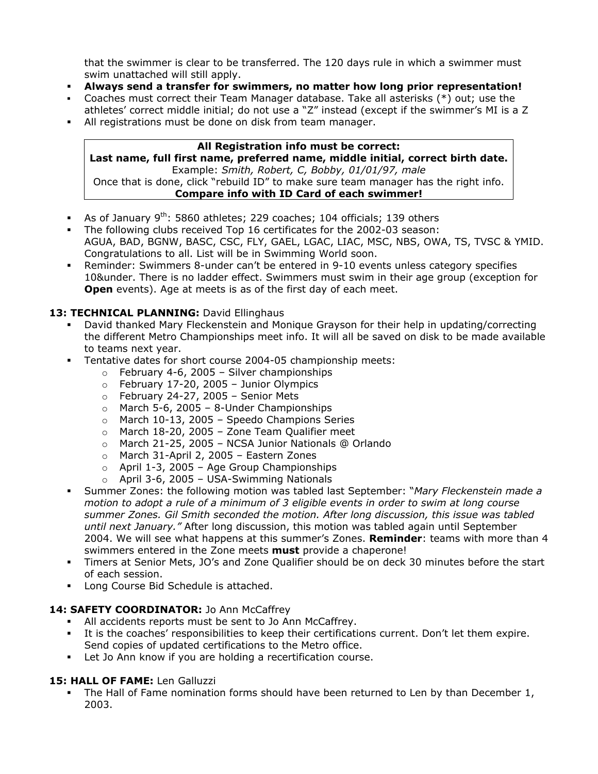that the swimmer is clear to be transferred. The 120 days rule in which a swimmer must swim unattached will still apply.

- **Always send a transfer for swimmers, no matter how long prior representation!**
- Coaches must correct their Team Manager database. Take all asterisks (\*) out; use the athletes' correct middle initial; do not use a "Z" instead (except if the swimmer's MI is a Z
- All registrations must be done on disk from team manager.

#### **All Registration info must be correct: Last name, full first name, preferred name, middle initial, correct birth date.**  Example: *Smith, Robert, C, Bobby, 01/01/97, male* Once that is done, click "rebuild ID" to make sure team manager has the right info. **Compare info with ID Card of each swimmer!**

- As of January  $9<sup>th</sup>$ : 5860 athletes; 229 coaches; 104 officials; 139 others
- The following clubs received Top 16 certificates for the 2002-03 season: AGUA, BAD, BGNW, BASC, CSC, FLY, GAEL, LGAC, LIAC, MSC, NBS, OWA, TS, TVSC & YMID. Congratulations to all. List will be in Swimming World soon.
- Reminder: Swimmers 8-under can't be entered in 9-10 events unless category specifies 10&under. There is no ladder effect. Swimmers must swim in their age group (exception for **Open** events). Age at meets is as of the first day of each meet.

#### 13: TECHNICAL PLANNING: David Ellinghaus

- David thanked Mary Fleckenstein and Monique Grayson for their help in updating/correcting the different Metro Championships meet info. It will all be saved on disk to be made available to teams next year.
- **Tentative dates for short course 2004-05 championship meets:** 
	- $\circ$  February 4-6, 2005 Silver championships
	- $\circ$  February 17-20, 2005 Junior Olympics
	- $\circ$  February 24-27, 2005 Senior Mets
	- $\circ$  March 5-6, 2005 8-Under Championships
	- o March 10-13, 2005 Speedo Champions Series
	- $\circ$  March 18-20, 2005 Zone Team Qualifier meet
	- o March 21-25, 2005 NCSA Junior Nationals @ Orlando
	- o March 31-April 2, 2005 Eastern Zones
	- $\circ$  April 1-3, 2005 Age Group Championships
	- o April 3-6, 2005 USA-Swimming Nationals
- Summer Zones: the following motion was tabled last September: "*Mary Fleckenstein made a motion to adopt a rule of a minimum of 3 eligible events in order to swim at long course summer Zones. Gil Smith seconded the motion. After long discussion, this issue was tabled until next January."* After long discussion, this motion was tabled again until September 2004. We will see what happens at this summer's Zones. **Reminder**: teams with more than 4 swimmers entered in the Zone meets **must** provide a chaperone!
- Timers at Senior Mets, JO's and Zone Qualifier should be on deck 30 minutes before the start of each session.
- **Long Course Bid Schedule is attached.**

#### 14: SAFETY COORDINATOR: Jo Ann McCaffrey

- All accidents reports must be sent to Jo Ann McCaffrey.
- It is the coaches' responsibilities to keep their certifications current. Don't let them expire. Send copies of updated certifications to the Metro office.
- Let Jo Ann know if you are holding a recertification course.

## **15: HALL OF FAME:** Len Galluzzi

 The Hall of Fame nomination forms should have been returned to Len by than December 1, 2003.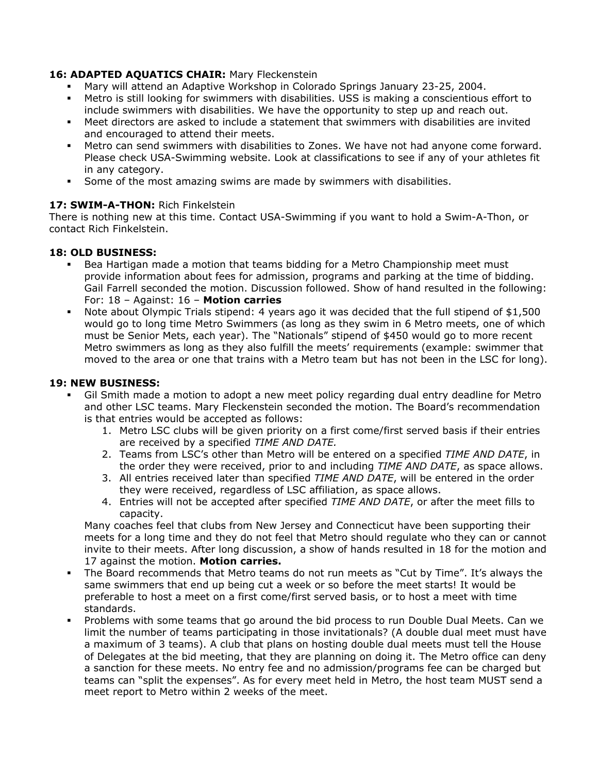## **16: ADAPTED AQUATICS CHAIR:** Mary Fleckenstein

- Mary will attend an Adaptive Workshop in Colorado Springs January 23-25, 2004.
- Metro is still looking for swimmers with disabilities. USS is making a conscientious effort to include swimmers with disabilities. We have the opportunity to step up and reach out.
- Meet directors are asked to include a statement that swimmers with disabilities are invited and encouraged to attend their meets.
- Metro can send swimmers with disabilities to Zones. We have not had anyone come forward. Please check USA-Swimming website. Look at classifications to see if any of your athletes fit in any category.
- Some of the most amazing swims are made by swimmers with disabilities.

#### **17: SWIM-A-THON:** Rich Finkelstein

There is nothing new at this time. Contact USA-Swimming if you want to hold a Swim-A-Thon, or contact Rich Finkelstein.

#### **18: OLD BUSINESS:**

- Bea Hartigan made a motion that teams bidding for a Metro Championship meet must provide information about fees for admission, programs and parking at the time of bidding. Gail Farrell seconded the motion. Discussion followed. Show of hand resulted in the following: For: 18 – Against: 16 – **Motion carries**
- Note about Olympic Trials stipend: 4 years ago it was decided that the full stipend of \$1,500 would go to long time Metro Swimmers (as long as they swim in 6 Metro meets, one of which must be Senior Mets, each year). The "Nationals" stipend of \$450 would go to more recent Metro swimmers as long as they also fulfill the meets' requirements (example: swimmer that moved to the area or one that trains with a Metro team but has not been in the LSC for long).

#### **19: NEW BUSINESS:**

- Gil Smith made a motion to adopt a new meet policy regarding dual entry deadline for Metro and other LSC teams. Mary Fleckenstein seconded the motion. The Board's recommendation is that entries would be accepted as follows:
	- 1. Metro LSC clubs will be given priority on a first come/first served basis if their entries are received by a specified *TIME AND DATE.*
	- 2. Teams from LSC's other than Metro will be entered on a specified *TIME AND DATE*, in the order they were received, prior to and including *TIME AND DATE*, as space allows.
	- 3. All entries received later than specified *TIME AND DATE*, will be entered in the order they were received, regardless of LSC affiliation, as space allows.
	- 4. Entries will not be accepted after specified *TIME AND DATE*, or after the meet fills to capacity.

Many coaches feel that clubs from New Jersey and Connecticut have been supporting their meets for a long time and they do not feel that Metro should regulate who they can or cannot invite to their meets. After long discussion, a show of hands resulted in 18 for the motion and 17 against the motion. **Motion carries.** 

- The Board recommends that Metro teams do not run meets as "Cut by Time". It's always the same swimmers that end up being cut a week or so before the meet starts! It would be preferable to host a meet on a first come/first served basis, or to host a meet with time standards.
- Problems with some teams that go around the bid process to run Double Dual Meets. Can we limit the number of teams participating in those invitationals? (A double dual meet must have a maximum of 3 teams). A club that plans on hosting double dual meets must tell the House of Delegates at the bid meeting, that they are planning on doing it. The Metro office can deny a sanction for these meets. No entry fee and no admission/programs fee can be charged but teams can "split the expenses". As for every meet held in Metro, the host team MUST send a meet report to Metro within 2 weeks of the meet.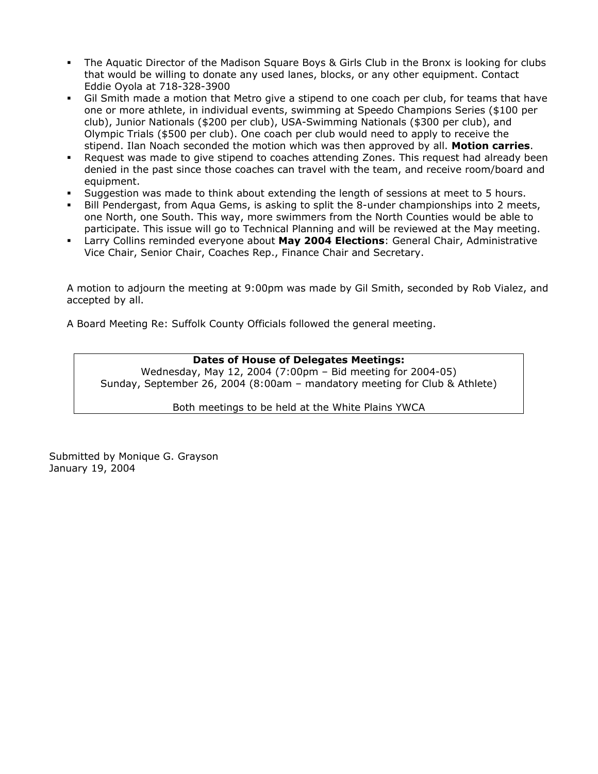- The Aquatic Director of the Madison Square Boys & Girls Club in the Bronx is looking for clubs that would be willing to donate any used lanes, blocks, or any other equipment. Contact Eddie Oyola at 718-328-3900
- Gil Smith made a motion that Metro give a stipend to one coach per club, for teams that have one or more athlete, in individual events, swimming at Speedo Champions Series (\$100 per club), Junior Nationals (\$200 per club), USA-Swimming Nationals (\$300 per club), and Olympic Trials (\$500 per club). One coach per club would need to apply to receive the stipend. Ilan Noach seconded the motion which was then approved by all. **Motion carries**.
- Request was made to give stipend to coaches attending Zones. This request had already been denied in the past since those coaches can travel with the team, and receive room/board and equipment.
- Suggestion was made to think about extending the length of sessions at meet to 5 hours.
- Bill Pendergast, from Aqua Gems, is asking to split the 8-under championships into 2 meets, one North, one South. This way, more swimmers from the North Counties would be able to participate. This issue will go to Technical Planning and will be reviewed at the May meeting.
- Larry Collins reminded everyone about **May 2004 Elections**: General Chair, Administrative Vice Chair, Senior Chair, Coaches Rep., Finance Chair and Secretary.

A motion to adjourn the meeting at 9:00pm was made by Gil Smith, seconded by Rob Vialez, and accepted by all.

A Board Meeting Re: Suffolk County Officials followed the general meeting.

## **Dates of House of Delegates Meetings:**

Wednesday, May 12, 2004 (7:00pm – Bid meeting for 2004-05) Sunday, September 26, 2004 (8:00am – mandatory meeting for Club & Athlete)

Both meetings to be held at the White Plains YWCA

Submitted by Monique G. Grayson January 19, 2004